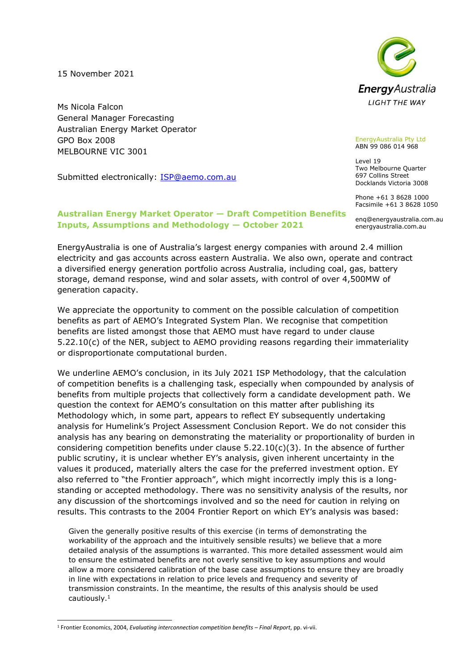15 November 2021

Ms Nicola Falcon General Manager Forecasting Australian Energy Market Operator GPO Box 2008 MELBOURNE VIC 3001

Submitted electronically: **ISP@aemo.com.au** 



EnergyAustralia Pty Ltd ABN 99 086 014 968

Level 19 Two Melbourne Quarter 697 Collins Street Docklands Victoria 3008

Phone +61 3 8628 1000 Facsimile +61 3 8628 1050

enq@energyaustralia.com.au energyaustralia.com.au

## **Australian Energy Market Operator — Draft Competition Benefits Inputs, Assumptions and Methodology — October 2021**

EnergyAustralia is one of Australia's largest energy companies with around 2.4 million electricity and gas accounts across eastern Australia. We also own, operate and contract a diversified energy generation portfolio across Australia, including coal, gas, battery storage, demand response, wind and solar assets, with control of over 4,500MW of generation capacity.

We appreciate the opportunity to comment on the possible calculation of competition benefits as part of AEMO's Integrated System Plan. We recognise that competition benefits are listed amongst those that AEMO must have regard to under clause 5.22.10(c) of the NER, subject to AEMO providing reasons regarding their immateriality or disproportionate computational burden.

We underline AEMO's conclusion, in its July 2021 ISP Methodology, that the calculation of competition benefits is a challenging task, especially when compounded by analysis of benefits from multiple projects that collectively form a candidate development path. We question the context for AEMO's consultation on this matter after publishing its Methodology which, in some part, appears to reflect EY subsequently undertaking analysis for Humelink's Project Assessment Conclusion Report. We do not consider this analysis has any bearing on demonstrating the materiality or proportionality of burden in considering competition benefits under clause  $5.22.10(c)(3)$ . In the absence of further public scrutiny, it is unclear whether EY's analysis, given inherent uncertainty in the values it produced, materially alters the case for the preferred investment option. EY also referred to "the Frontier approach", which might incorrectly imply this is a longstanding or accepted methodology. There was no sensitivity analysis of the results, nor any discussion of the shortcomings involved and so the need for caution in relying on results. This contrasts to the 2004 Frontier Report on which EY's analysis was based:

Given the generally positive results of this exercise (in terms of demonstrating the workability of the approach and the intuitively sensible results) we believe that a more detailed analysis of the assumptions is warranted. This more detailed assessment would aim to ensure the estimated benefits are not overly sensitive to key assumptions and would allow a more considered calibration of the base case assumptions to ensure they are broadly in line with expectations in relation to price levels and frequency and severity of transmission constraints. In the meantime, the results of this analysis should be used cautiously.<sup>1</sup>

<sup>1</sup> Frontier Economics, 2004, *Evaluating interconnection competition benefits – Final Report*, pp. vi-vii.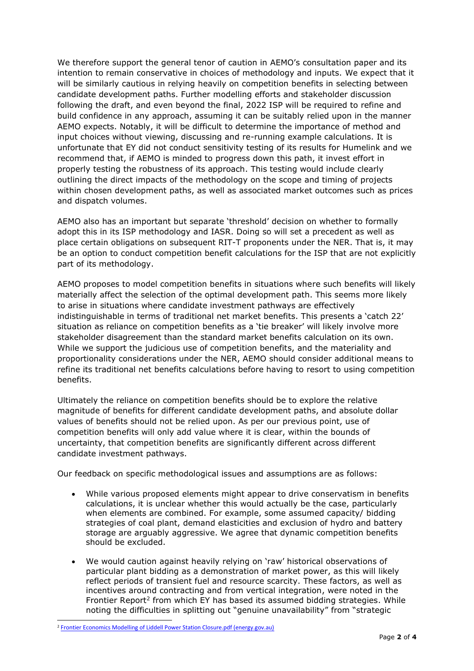We therefore support the general tenor of caution in AEMO's consultation paper and its intention to remain conservative in choices of methodology and inputs. We expect that it will be similarly cautious in relying heavily on competition benefits in selecting between candidate development paths. Further modelling efforts and stakeholder discussion following the draft, and even beyond the final, 2022 ISP will be required to refine and build confidence in any approach, assuming it can be suitably relied upon in the manner AEMO expects. Notably, it will be difficult to determine the importance of method and input choices without viewing, discussing and re-running example calculations. It is unfortunate that EY did not conduct sensitivity testing of its results for Humelink and we recommend that, if AEMO is minded to progress down this path, it invest effort in properly testing the robustness of its approach. This testing would include clearly outlining the direct impacts of the methodology on the scope and timing of projects within chosen development paths, as well as associated market outcomes such as prices and dispatch volumes.

AEMO also has an important but separate 'threshold' decision on whether to formally adopt this in its ISP methodology and IASR. Doing so will set a precedent as well as place certain obligations on subsequent RIT-T proponents under the NER. That is, it may be an option to conduct competition benefit calculations for the ISP that are not explicitly part of its methodology.

AEMO proposes to model competition benefits in situations where such benefits will likely materially affect the selection of the optimal development path. This seems more likely to arise in situations where candidate investment pathways are effectively indistinguishable in terms of traditional net market benefits. This presents a 'catch 22' situation as reliance on competition benefits as a 'tie breaker' will likely involve more stakeholder disagreement than the standard market benefits calculation on its own. While we support the judicious use of competition benefits, and the materiality and proportionality considerations under the NER, AEMO should consider additional means to refine its traditional net benefits calculations before having to resort to using competition benefits.

Ultimately the reliance on competition benefits should be to explore the relative magnitude of benefits for different candidate development paths, and absolute dollar values of benefits should not be relied upon. As per our previous point, use of competition benefits will only add value where it is clear, within the bounds of uncertainty, that competition benefits are significantly different across different candidate investment pathways.

Our feedback on specific methodological issues and assumptions are as follows:

- While various proposed elements might appear to drive conservatism in benefits calculations, it is unclear whether this would actually be the case, particularly when elements are combined. For example, some assumed capacity/ bidding strategies of coal plant, demand elasticities and exclusion of hydro and battery storage are arguably aggressive. We agree that dynamic competition benefits should be excluded.
- We would caution against heavily relying on 'raw' historical observations of particular plant bidding as a demonstration of market power, as this will likely reflect periods of transient fuel and resource scarcity. These factors, as well as incentives around contracting and from vertical integration, were noted in the Frontier Report<sup>2</sup> from which EY has based its assumed bidding strategies. While noting the difficulties in splitting out "genuine unavailability" from "strategic

<sup>&</sup>lt;sup>2</sup> [Frontier Economics Modelling of Liddell Power Station Closure.pdf \(energy.gov.au\)](https://www.energy.gov.au/sites/default/files/Frontier%20Economics%20Modelling%20of%20Liddell%20Power%20Station%20Closure.pdf)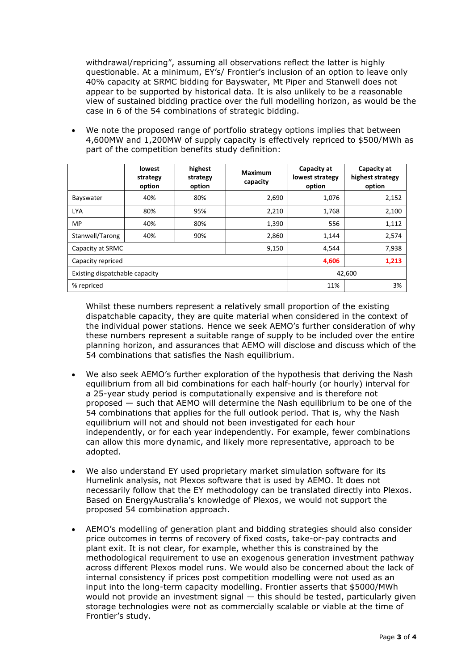withdrawal/repricing", assuming all observations reflect the latter is highly questionable. At a minimum, EY's/ Frontier's inclusion of an option to leave only 40% capacity at SRMC bidding for Bayswater, Mt Piper and Stanwell does not appear to be supported by historical data. It is also unlikely to be a reasonable view of sustained bidding practice over the full modelling horizon, as would be the case in 6 of the 54 combinations of strategic bidding.

• We note the proposed range of portfolio strategy options implies that between 4,600MW and 1,200MW of supply capacity is effectively repriced to \$500/MWh as part of the competition benefits study definition:

|                                | lowest<br>strategy<br>option | highest<br>strategy<br>option | <b>Maximum</b><br>capacity | Capacity at<br>lowest strategy<br>option | Capacity at<br>highest strategy<br>option |
|--------------------------------|------------------------------|-------------------------------|----------------------------|------------------------------------------|-------------------------------------------|
| Bayswater                      | 40%                          | 80%                           | 2,690                      | 1,076                                    | 2,152                                     |
| <b>LYA</b>                     | 80%                          | 95%                           | 2,210                      | 1,768                                    | 2,100                                     |
| MP                             | 40%                          | 80%                           | 1,390                      | 556                                      | 1,112                                     |
| Stanwell/Tarong                | 40%                          | 90%                           | 2,860                      | 1,144                                    | 2,574                                     |
| Capacity at SRMC               |                              |                               | 9,150                      | 4,544                                    | 7,938                                     |
| Capacity repriced              |                              |                               |                            | 4,606                                    | 1,213                                     |
| Existing dispatchable capacity |                              |                               |                            | 42,600                                   |                                           |
| % repriced                     |                              |                               |                            | 11%                                      | 3%                                        |

Whilst these numbers represent a relatively small proportion of the existing dispatchable capacity, they are quite material when considered in the context of the individual power stations. Hence we seek AEMO's further consideration of why these numbers represent a suitable range of supply to be included over the entire planning horizon, and assurances that AEMO will disclose and discuss which of the 54 combinations that satisfies the Nash equilibrium.

- We also seek AEMO's further exploration of the hypothesis that deriving the Nash equilibrium from all bid combinations for each half-hourly (or hourly) interval for a 25-year study period is computationally expensive and is therefore not proposed — such that AEMO will determine the Nash equilibrium to be one of the 54 combinations that applies for the full outlook period. That is, why the Nash equilibrium will not and should not been investigated for each hour independently, or for each year independently. For example, fewer combinations can allow this more dynamic, and likely more representative, approach to be adopted.
- We also understand EY used proprietary market simulation software for its Humelink analysis, not Plexos software that is used by AEMO. It does not necessarily follow that the EY methodology can be translated directly into Plexos. Based on EnergyAustralia's knowledge of Plexos, we would not support the proposed 54 combination approach.
- AEMO's modelling of generation plant and bidding strategies should also consider price outcomes in terms of recovery of fixed costs, take-or-pay contracts and plant exit. It is not clear, for example, whether this is constrained by the methodological requirement to use an exogenous generation investment pathway across different Plexos model runs. We would also be concerned about the lack of internal consistency if prices post competition modelling were not used as an input into the long-term capacity modelling. Frontier asserts that \$5000/MWh would not provide an investment signal — this should be tested, particularly given storage technologies were not as commercially scalable or viable at the time of Frontier's study.